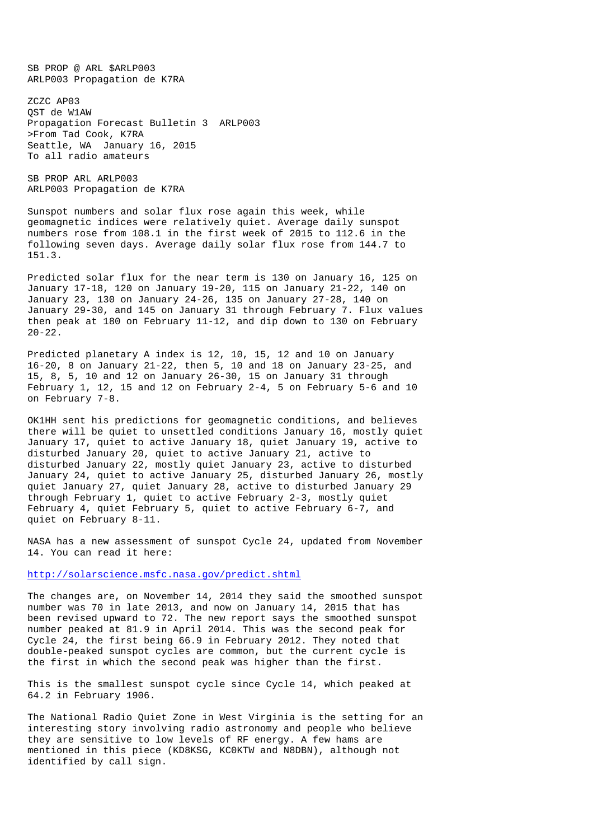SB PROP @ ARL \$ARLP003 ARLP003 Propagation de K7RA

ZCZC AP03 QST de W1AW Propagation Forecast Bulletin 3 ARLP003 >From Tad Cook, K7RA Seattle, WA January 16, 2015 To all radio amateurs

SB PROP ARL ARLP003 ARLP003 Propagation de K7RA

Sunspot numbers and solar flux rose again this week, while geomagnetic indices were relatively quiet. Average daily sunspot numbers rose from 108.1 in the first week of 2015 to 112.6 in the following seven days. Average daily solar flux rose from 144.7 to 151.3.

Predicted solar flux for the near term is 130 on January 16, 125 on January 17-18, 120 on January 19-20, 115 on January 21-22, 140 on January 23, 130 on January 24-26, 135 on January 27-28, 140 on January 29-30, and 145 on January 31 through February 7. Flux values then peak at 180 on February 11-12, and dip down to 130 on February 20-22.

Predicted planetary A index is 12, 10, 15, 12 and 10 on January 16-20, 8 on January 21-22, then 5, 10 and 18 on January 23-25, and 15, 8, 5, 10 and 12 on January 26-30, 15 on January 31 through February 1, 12, 15 and 12 on February 2-4, 5 on February 5-6 and 10 on February 7-8.

OK1HH sent his predictions for geomagnetic conditions, and believes there will be quiet to unsettled conditions January 16, mostly quiet January 17, quiet to active January 18, quiet January 19, active to disturbed January 20, quiet to active January 21, active to disturbed January 22, mostly quiet January 23, active to disturbed January 24, quiet to active January 25, disturbed January 26, mostly quiet January 27, quiet January 28, active to disturbed January 29 through February 1, quiet to active February 2-3, mostly quiet February 4, quiet February 5, quiet to active February 6-7, and quiet on February 8-11.

NASA has a new assessment of sunspot Cycle 24, updated from November 14. You can read it here:

http://solarscience.msfc.nasa.gov/predict.shtml

The changes are, on November 14, 2014 they said the smoothed sunspot number was 70 in late 2013, and now on January 14, 2015 that has been revised upward to 72. The new report says the smoothed sunspot number peaked at 81.9 in April 2014. This was the second peak for Cycle 24, the first being 66.9 in February 2012. They noted that double-peaked sunspot cycles are common, but the current cycle is the first in which the second peak was higher than the first.

This is the smallest sunspot cycle since Cycle 14, which peaked at 64.2 in February 1906.

The National Radio Quiet Zone in West Virginia is the setting for an interesting story involving radio astronomy and people who believe they are sensitive to low levels of RF energy. A few hams are mentioned in this piece (KD8KSG, KC0KTW and N8DBN), although not identified by call sign.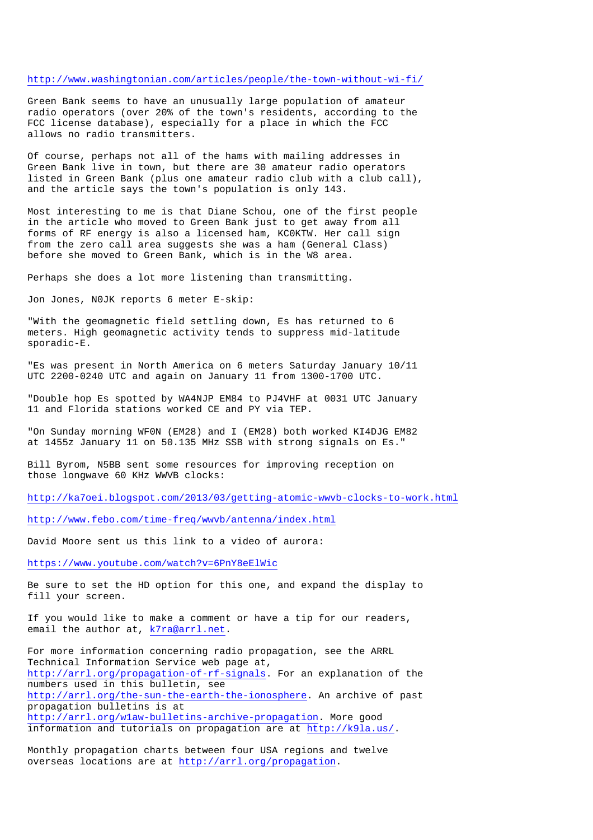## http://www.washingtonian.com/articles/people/the-town-without-wi-fi/

Green Bank seems to have an unusually large population of amateur radio operators (over 20% of the town's residents, according to the FCC license database), especially for a place in which the FCC allows no radio transmitters.

Of course, perhaps not all of the hams with mailing addresses in Green Bank live in town, but there are 30 amateur radio operators listed in Green Bank (plus one amateur radio club with a club call), and the article says the town's population is only 143.

Most interesting to me is that Diane Schou, one of the first people in the article who moved to Green Bank just to get away from all forms of RF energy is also a licensed ham, KC0KTW. Her call sign from the zero call area suggests she was a ham (General Class) before she moved to Green Bank, which is in the W8 area.

Perhaps she does a lot more listening than transmitting.

Jon Jones, N0JK reports 6 meter E-skip:

"With the geomagnetic field settling down, Es has returned to 6 meters. High geomagnetic activity tends to suppress mid-latitude sporadic-E.

"Es was present in North America on 6 meters Saturday January 10/11 UTC 2200-0240 UTC and again on January 11 from 1300-1700 UTC.

"Double hop Es spotted by WA4NJP EM84 to PJ4VHF at 0031 UTC January 11 and Florida stations worked CE and PY via TEP.

"On Sunday morning WF0N (EM28) and I (EM28) both worked KI4DJG EM82 at 1455z January 11 on 50.135 MHz SSB with strong signals on Es."

Bill Byrom, N5BB sent some resources for improving reception on those longwave 60 KHz WWVB clocks:

http://ka7oei.blogspot.com/2013/03/getting-atomic-wwvb-clocks-to-work.html

http://www.febo.com/time-freq/wwvb/antenna/index.html

David Moore sent us this link to a video of aurora:

https://www.youtube.com/watch?v=6PnY8eElWic

Be sure to set the HD option for this one, and expand the display to fill your screen.

If you would like to make a comment or have a tip for our readers, email the author at, k7ra@arrl.net.

For more information concerning radio propagation, see the ARRL Technical Information Service web page at, http://arrl.org/propagation-of-rf-signals. For an explanation of the numbers used in this bulletin, see http://arrl.org/the-sun-the-earth-the-ionosphere. An archive of past propagation bulletins is at http://arrl.org/w1aw-bulletins-archive-propagation. More good information and tutorials on propagation are at http://k9la.us/.

Monthly propagation charts between four USA regions and twelve overseas locations are at http://arrl.org/propagation.